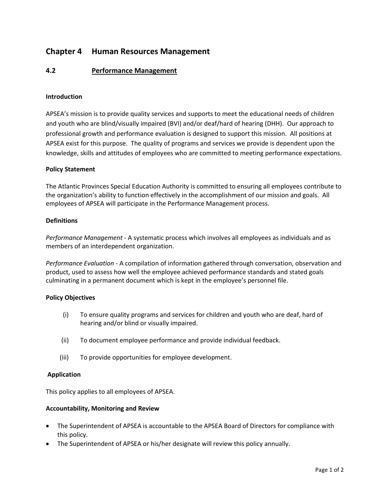# **Chapter 4 Human Resources Management**

### **4.2 Performance Management**

#### **Introduction**

APSEA's mission is to provide quality services and supports to meet the educational needs of children and youth who are blind/visually impaired (BVI) and/or deaf/hard of hearing (DHH). Our approach to professional growth and performance evaluation is designed to support this mission. All positions at APSEA exist for this purpose. The quality of programs and services we provide is dependent upon the knowledge, skills and attitudes of employees who are committed to meeting performance expectations.

#### **Policy Statement**

The Atlantic Provinces Special Education Authority is committed to ensuring all employees contribute to the organization's ability to function effectively in the accomplishment of our mission and goals. All employees of APSEA will participate in the Performance Management process.

#### **Definitions**

*Performance Management* - A systematic process which involves all employees as individuals and as members of an interdependent organization.

*Performance Evaluation* - A compilation of information gathered through conversation, observation and product, used to assess how well the employee achieved performance standards and stated goals culminating in a permanent document which is kept in the employee's personnel file.

#### **Policy Objectives**

- (i) To ensure quality programs and services for children and youth who are deaf, hard of hearing and/or blind or visually impaired.
- (ii) To document employee performance and provide individual feedback.
- (iii) To provide opportunities for employee development.

#### **Application**

This policy applies to all employees of APSEA.

#### **Accountability, Monitoring and Review**

- The Superintendent of APSEA is accountable to the APSEA Board of Directors for compliance with this policy.
- The Superintendent of APSEA or his/her designate will review this policy annually.